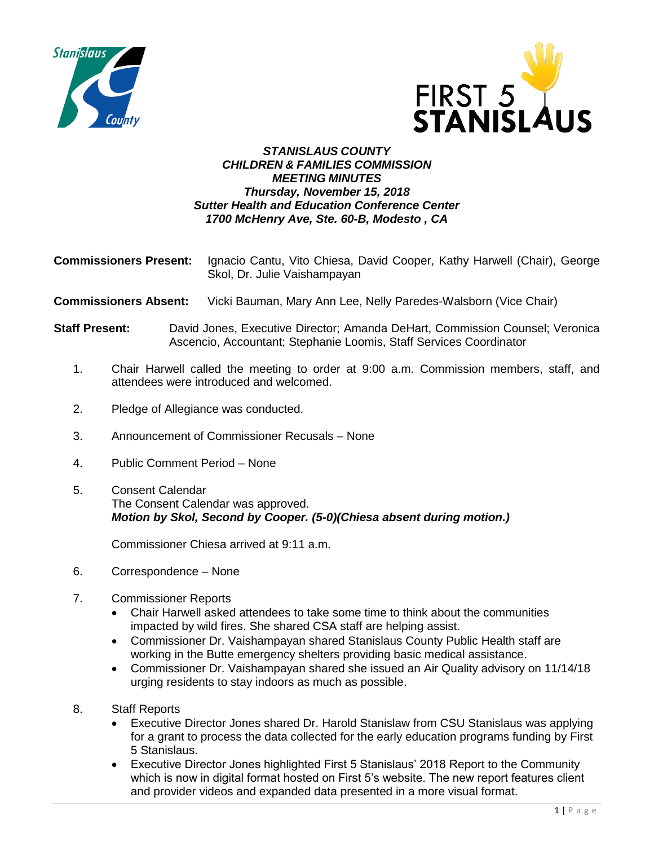



## *STANISLAUS COUNTY CHILDREN & FAMILIES COMMISSION MEETING MINUTES Thursday, November 15, 2018 Sutter Health and Education Conference Center 1700 McHenry Ave, Ste. 60-B, Modesto , CA*

- **Commissioners Present:** Ignacio Cantu, Vito Chiesa, David Cooper, Kathy Harwell (Chair), George Skol, Dr. Julie Vaishampayan
- **Commissioners Absent:** Vicki Bauman, Mary Ann Lee, Nelly Paredes-Walsborn (Vice Chair)
- **Staff Present:** David Jones, Executive Director; Amanda DeHart, Commission Counsel; Veronica Ascencio, Accountant; Stephanie Loomis, Staff Services Coordinator
	- 1. Chair Harwell called the meeting to order at 9:00 a.m. Commission members, staff, and attendees were introduced and welcomed.
	- 2. Pledge of Allegiance was conducted.
	- 3. Announcement of Commissioner Recusals None
	- 4. Public Comment Period None
	- 5. Consent Calendar The Consent Calendar was approved. *Motion by Skol, Second by Cooper. (5-0)(Chiesa absent during motion.)*

Commissioner Chiesa arrived at 9:11 a.m.

- 6. Correspondence None
- 7. Commissioner Reports
	- Chair Harwell asked attendees to take some time to think about the communities impacted by wild fires. She shared CSA staff are helping assist.
	- Commissioner Dr. Vaishampayan shared Stanislaus County Public Health staff are working in the Butte emergency shelters providing basic medical assistance.
	- Commissioner Dr. Vaishampayan shared she issued an Air Quality advisory on 11/14/18 urging residents to stay indoors as much as possible.
- 8. Staff Reports
	- Executive Director Jones shared Dr. Harold Stanislaw from CSU Stanislaus was applying for a grant to process the data collected for the early education programs funding by First 5 Stanislaus.
	- Executive Director Jones highlighted First 5 Stanislaus' 2018 Report to the Community which is now in digital format hosted on First 5's website. The new report features client and provider videos and expanded data presented in a more visual format.